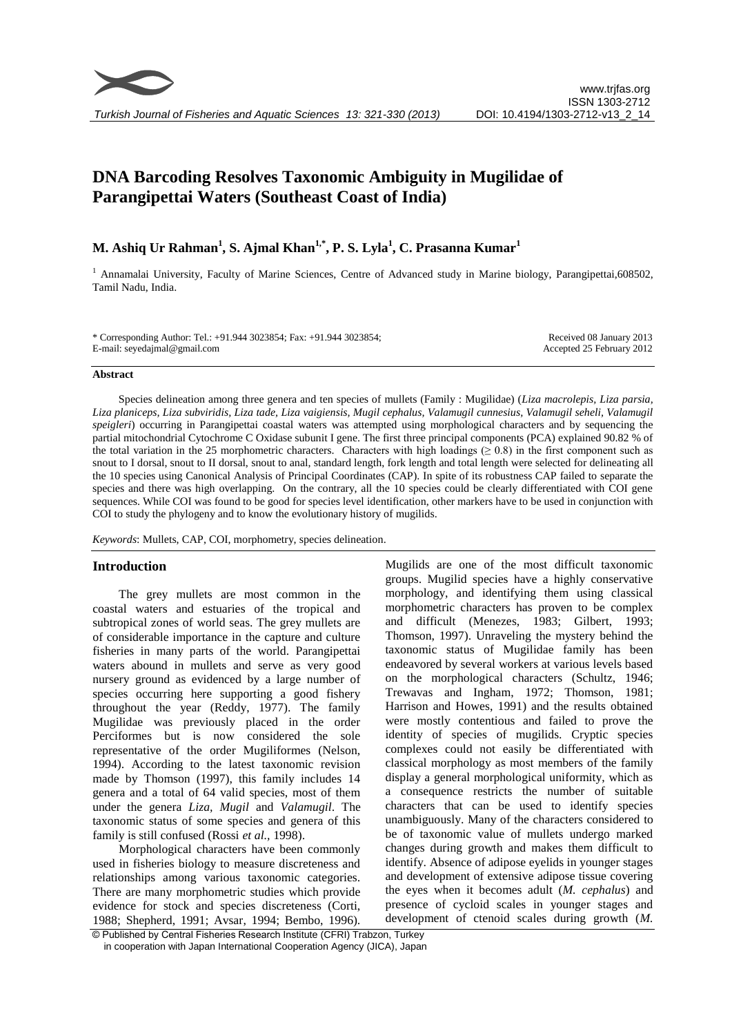# **DNA Barcoding Resolves Taxonomic Ambiguity in Mugilidae of Parangipettai Waters (Southeast Coast of India)**

# **M. Ashiq Ur Rahman<sup>1</sup> , S. Ajmal Khan1,\*, P. S. Lyla<sup>1</sup> , C. Prasanna Kumar<sup>1</sup>**

<sup>1</sup> Annamalai University, Faculty of Marine Sciences, Centre of Advanced study in Marine biology, Parangipettai,608502, Tamil Nadu, India.

\* Corresponding Author: Tel.: +91.944 3023854; Fax: +91.944 3023854; E-mail: seyedajmal@gmail.com

Received 08 January 2013 Accepted 25 February 2012

#### **Abstract**

Species delineation among three genera and ten species of mullets (Family : Mugilidae) (*Liza macrolepis, Liza parsia, Liza planiceps, Liza subviridis, Liza tade, Liza vaigiensis, Mugil cephalus, Valamugil cunnesius, Valamugil seheli, Valamugil speigleri*) occurring in Parangipettai coastal waters was attempted using morphological characters and by sequencing the partial mitochondrial Cytochrome C Oxidase subunit I gene. The first three principal components (PCA) explained 90.82 % of the total variation in the 25 morphometric characters. Characters with high loadings ( $\geq 0.8$ ) in the first component such as snout to I dorsal, snout to II dorsal, snout to anal, standard length, fork length and total length were selected for delineating all the 10 species using Canonical Analysis of Principal Coordinates (CAP). In spite of its robustness CAP failed to separate the species and there was high overlapping. On the contrary, all the 10 species could be clearly differentiated with COI gene sequences. While COI was found to be good for species level identification, other markers have to be used in conjunction with COI to study the phylogeny and to know the evolutionary history of mugilids.

*Keywords*: Mullets, CAP, COI, morphometry, species delineation.

# **Introduction**

The grey mullets are most common in the coastal waters and estuaries of the tropical and subtropical zones of world seas. The grey mullets are of considerable importance in the capture and culture fisheries in many parts of the world. Parangipettai waters abound in mullets and serve as very good nursery ground as evidenced by a large number of species occurring here supporting a good fishery throughout the year (Reddy, 1977). The family Mugilidae was previously placed in the order Perciformes but is now considered the sole representative of the order Mugiliformes (Nelson, 1994). According to the latest taxonomic revision made by Thomson (1997), this family includes 14 genera and a total of 64 valid species, most of them under the genera *Liza, Mugil* and *Valamugil*. The taxonomic status of some species and genera of this family is still confused (Rossi *et al.,* 1998).

Morphological characters have been commonly used in fisheries biology to measure discreteness and relationships among various taxonomic categories. There are many morphometric studies which provide evidence for stock and species discreteness (Corti, 1988; Shepherd, 1991; Avsar, 1994; Bembo, 1996).

Mugilids are one of the most difficult taxonomic groups. Mugilid species have a highly conservative morphology, and identifying them using classical morphometric characters has proven to be complex and difficult (Menezes, 1983; Gilbert, 1993; Thomson, 1997). Unraveling the mystery behind the taxonomic status of Mugilidae family has been endeavored by several workers at various levels based on the morphological characters (Schultz, 1946; Trewavas and Ingham, 1972; Thomson, 1981; Harrison and Howes, 1991) and the results obtained were mostly contentious and failed to prove the identity of species of mugilids. Cryptic species complexes could not easily be differentiated with classical morphology as most members of the family display a general morphological uniformity, which as a consequence restricts the number of suitable characters that can be used to identify species unambiguously. Many of the characters considered to be of taxonomic value of mullets undergo marked changes during growth and makes them difficult to identify. Absence of adipose eyelids in younger stages and development of extensive adipose tissue covering the eyes when it becomes adult (*M. cephalus*) and presence of cycloid scales in younger stages and development of ctenoid scales during growth (*M.* 

<sup>©</sup> Published by Central Fisheries Research Institute (CFRI) Trabzon, Turkey in cooperation with Japan International Cooperation Agency (JICA), Japan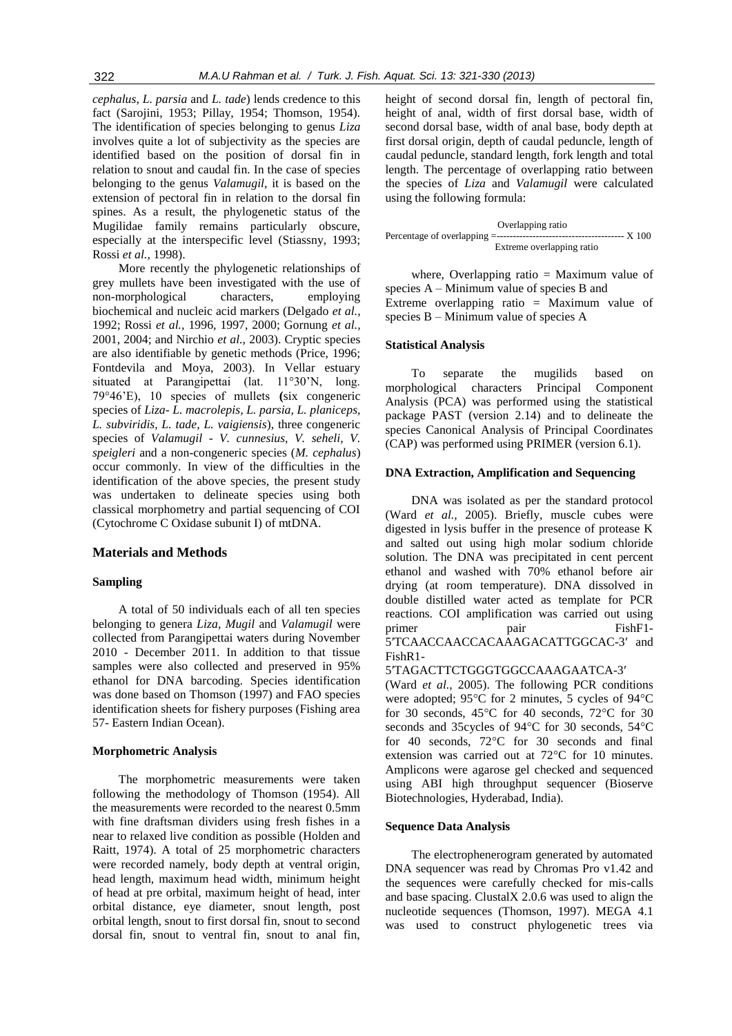*cephalus*, *L. parsia* and *L. tade*) lends credence to this fact (Sarojini, 1953; Pillay, 1954; Thomson, 1954). The identification of species belonging to genus *Liza* involves quite a lot of subjectivity as the species are identified based on the position of dorsal fin in relation to snout and caudal fin. In the case of species belonging to the genus *Valamugil*, it is based on the extension of pectoral fin in relation to the dorsal fin spines. As a result, the phylogenetic status of the Mugilidae family remains particularly obscure, especially at the interspecific level (Stiassny, 1993; Rossi *et al.,* 1998).

More recently the phylogenetic relationships of grey mullets have been investigated with the use of non-morphological characters, employing biochemical and nucleic acid markers (Delgado *et al.,* 1992; Rossi *et al.,* 1996, 1997, 2000; Gornung *et al.,* 2001, 2004; and Nirchio *et al.,* 2003). Cryptic species are also identifiable by genetic methods (Price, 1996; Fontdevila and Moya, 2003). In Vellar estuary situated at Parangipettai (lat. 11°30'N, long. 79°46'E), 10 species of mullets **(**six congeneric species of *Liza- L. macrolepis, L. parsia, L. planiceps, L. subviridis, L. tade, L. vaigiensis*), three congeneric species of *Valamugil* - *V. cunnesius, V. seheli, V. speigleri* and a non-congeneric species (*M. cephalus*) occur commonly. In view of the difficulties in the identification of the above species, the present study was undertaken to delineate species using both classical morphometry and partial sequencing of COI (Cytochrome C Oxidase subunit I) of mtDNA.

#### **Materials and Methods**

#### **Sampling**

A total of 50 individuals each of all ten species belonging to genera *Liza*, *Mugil* and *Valamugil* were collected from Parangipettai waters during November 2010 - December 2011. In addition to that tissue samples were also collected and preserved in 95% ethanol for DNA barcoding. Species identification was done based on Thomson (1997) and FAO species identification sheets for fishery purposes (Fishing area 57- Eastern Indian Ocean).

#### **Morphometric Analysis**

The morphometric measurements were taken following the methodology of Thomson (1954). All the measurements were recorded to the nearest 0.5mm with fine draftsman dividers using fresh fishes in a near to relaxed live condition as possible (Holden and Raitt, 1974). A total of 25 morphometric characters were recorded namely, body depth at ventral origin, head length, maximum head width, minimum height of head at pre orbital, maximum height of head, inter orbital distance, eye diameter, snout length, post orbital length, snout to first dorsal fin, snout to second dorsal fin, snout to ventral fin, snout to anal fin, height of second dorsal fin, length of pectoral fin, height of anal, width of first dorsal base, width of second dorsal base, width of anal base, body depth at first dorsal origin, depth of caudal peduncle, length of caudal peduncle, standard length, fork length and total length. The percentage of overlapping ratio between the species of *Liza* and *Valamugil* were calculated using the following formula:

| Overlapping ratio         |  |
|---------------------------|--|
| ---------- X 100          |  |
| Extreme overlapping ratio |  |

where, Overlapping ratio  $=$  Maximum value of species A – Minimum value of species B and Extreme overlapping ratio = Maximum value of species B – Minimum value of species A

#### **Statistical Analysis**

To separate the mugilids based on morphological characters Principal Component Analysis (PCA) was performed using the statistical package PAST (version 2.14) and to delineate the species Canonical Analysis of Principal Coordinates (CAP) was performed using PRIMER (version 6.1).

#### **DNA Extraction, Amplification and Sequencing**

DNA was isolated as per the standard protocol (Ward *et al.,* 2005). Briefly, muscle cubes were digested in lysis buffer in the presence of protease K and salted out using high molar sodium chloride solution. The DNA was precipitated in cent percent ethanol and washed with 70% ethanol before air drying (at room temperature). DNA dissolved in double distilled water acted as template for PCR reactions. COI amplification was carried out using primer pair PishF1-5′TCAACCAACCACAAAGACATTGGCAC-3′ and FishR1-

#### 5′TAGACTTCTGGGTGGCCAAAGAATCA-3′

(Ward *et al.,* 2005). The following PCR conditions were adopted; 95°C for 2 minutes, 5 cycles of 94°C for 30 seconds, 45°C for 40 seconds, 72°C for 30 seconds and 35cycles of 94°C for 30 seconds, 54°C for 40 seconds, 72°C for 30 seconds and final extension was carried out at 72°C for 10 minutes. Amplicons were agarose gel checked and sequenced using ABI high throughput sequencer (Bioserve Biotechnologies, Hyderabad, India).

#### **Sequence Data Analysis**

The electrophenerogram generated by automated DNA sequencer was read by Chromas Pro v1.42 and the sequences were carefully checked for mis-calls and base spacing. ClustalX 2.0.6 was used to align the nucleotide sequences (Thomson, 1997). MEGA 4.1 was used to construct phylogenetic trees via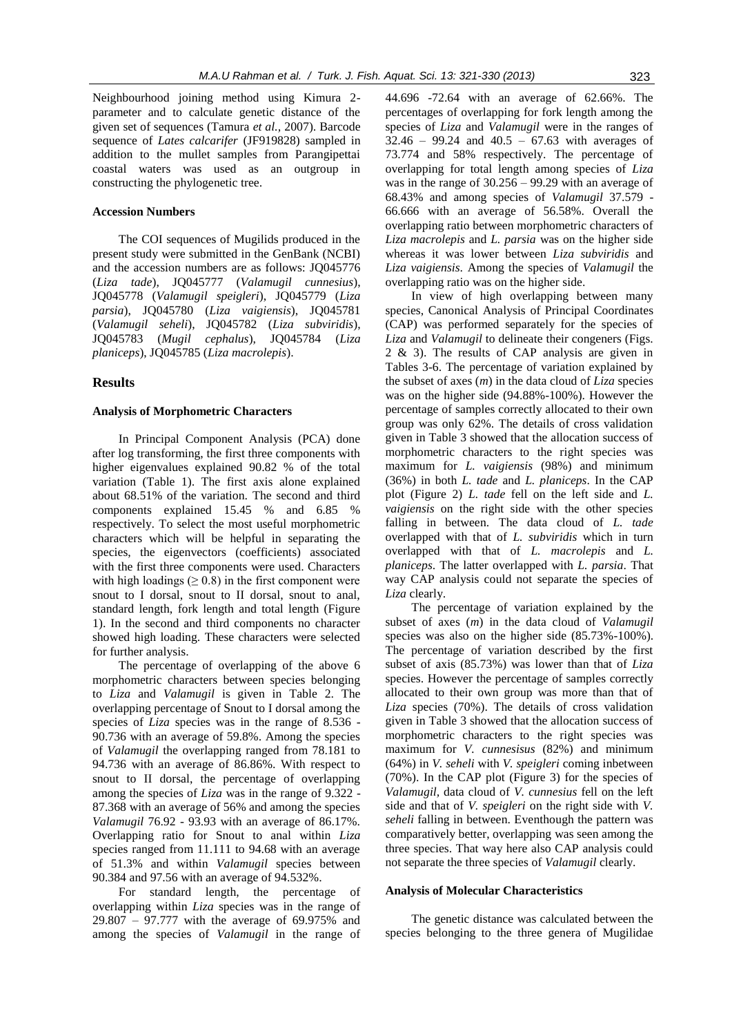Neighbourhood joining method using Kimura 2 parameter and to calculate genetic distance of the given set of sequences (Tamura *et al.,* 2007). Barcode sequence of *Lates calcarifer* (JF919828) sampled in addition to the mullet samples from Parangipettai coastal waters was used as an outgroup in constructing the phylogenetic tree.

#### **Accession Numbers**

The COI sequences of Mugilids produced in the present study were submitted in the GenBank (NCBI) and the accession numbers are as follows: JQ045776 (*Liza tade*), JQ045777 (*Valamugil cunnesius*), JQ045778 (*Valamugil speigleri*), JQ045779 (*Liza parsia*), JQ045780 (*Liza vaigiensis*), JQ045781 (*Valamugil seheli*), JQ045782 (*Liza subviridis*), JQ045783 (*Mugil cephalus*), JQ045784 (*Liza planiceps*), JQ045785 (*Liza macrolepis*).

#### **Results**

#### **Analysis of Morphometric Characters**

In Principal Component Analysis (PCA) done after log transforming, the first three components with higher eigenvalues explained 90.82 % of the total variation (Table 1). The first axis alone explained about 68.51% of the variation. The second and third components explained 15.45 % and 6.85 % respectively. To select the most useful morphometric characters which will be helpful in separating the species, the eigenvectors (coefficients) associated with the first three components were used. Characters with high loadings ( $\geq 0.8$ ) in the first component were snout to I dorsal, snout to II dorsal, snout to anal, standard length, fork length and total length (Figure 1). In the second and third components no character showed high loading. These characters were selected for further analysis.

The percentage of overlapping of the above 6 morphometric characters between species belonging to *Liza* and *Valamugil* is given in Table 2. The overlapping percentage of Snout to I dorsal among the species of *Liza* species was in the range of 8.536 - 90.736 with an average of 59.8%. Among the species of *Valamugil* the overlapping ranged from 78.181 to 94.736 with an average of 86.86%. With respect to snout to II dorsal, the percentage of overlapping among the species of *Liza* was in the range of 9.322 - 87.368 with an average of 56% and among the species *Valamugil* 76.92 - 93.93 with an average of 86.17%. Overlapping ratio for Snout to anal within *Liza* species ranged from 11.111 to 94.68 with an average of 51.3% and within *Valamugil* species between 90.384 and 97.56 with an average of 94.532%.

For standard length, the percentage of overlapping within *Liza* species was in the range of 29.807 – 97.777 with the average of 69.975% and among the species of *Valamugil* in the range of

44.696 -72.64 with an average of 62.66%. The percentages of overlapping for fork length among the species of *Liza* and *Valamugil* were in the ranges of 32.46 – 99.24 and 40.5 – 67.63 with averages of 73.774 and 58% respectively. The percentage of overlapping for total length among species of *Liza* was in the range of 30.256 – 99.29 with an average of 68.43% and among species of *Valamugil* 37.579 - 66.666 with an average of 56.58%. Overall the overlapping ratio between morphometric characters of *Liza macrolepis* and *L. parsia* was on the higher side whereas it was lower between *Liza subviridis* and *Liza vaigiensis*. Among the species of *Valamugil* the overlapping ratio was on the higher side.

In view of high overlapping between many species, Canonical Analysis of Principal Coordinates (CAP) was performed separately for the species of *Liza* and *Valamugil* to delineate their congeners (Figs. 2 & 3). The results of CAP analysis are given in Tables 3-6. The percentage of variation explained by the subset of axes (*m*) in the data cloud of *Liza* species was on the higher side (94.88%-100%). However the percentage of samples correctly allocated to their own group was only 62%. The details of cross validation given in Table 3 showed that the allocation success of morphometric characters to the right species was maximum for *L. vaigiensis* (98%) and minimum (36%) in both *L. tade* and *L. planiceps*. In the CAP plot (Figure 2) *L. tade* fell on the left side and *L. vaigiensis* on the right side with the other species falling in between. The data cloud of *L. tade*  overlapped with that of *L. subviridis* which in turn overlapped with that of *L. macrolepis* and *L. planiceps*. The latter overlapped with *L. parsia*. That way CAP analysis could not separate the species of *Liza* clearly.

The percentage of variation explained by the subset of axes (*m*) in the data cloud of *Valamugil*  species was also on the higher side (85.73%-100%). The percentage of variation described by the first subset of axis (85.73%) was lower than that of *Liza* species. However the percentage of samples correctly allocated to their own group was more than that of *Liza* species (70%). The details of cross validation given in Table 3 showed that the allocation success of morphometric characters to the right species was maximum for *V. cunnesisus* (82%) and minimum (64%) in *V. seheli* with *V. speigleri* coming inbetween (70%). In the CAP plot (Figure 3) for the species of *Valamugil,* data cloud of *V. cunnesius* fell on the left side and that of *V. speigleri* on the right side with *V. seheli* falling in between. Eventhough the pattern was comparatively better, overlapping was seen among the three species. That way here also CAP analysis could not separate the three species of *Valamugil* clearly.

#### **Analysis of Molecular Characteristics**

The genetic distance was calculated between the species belonging to the three genera of Mugilidae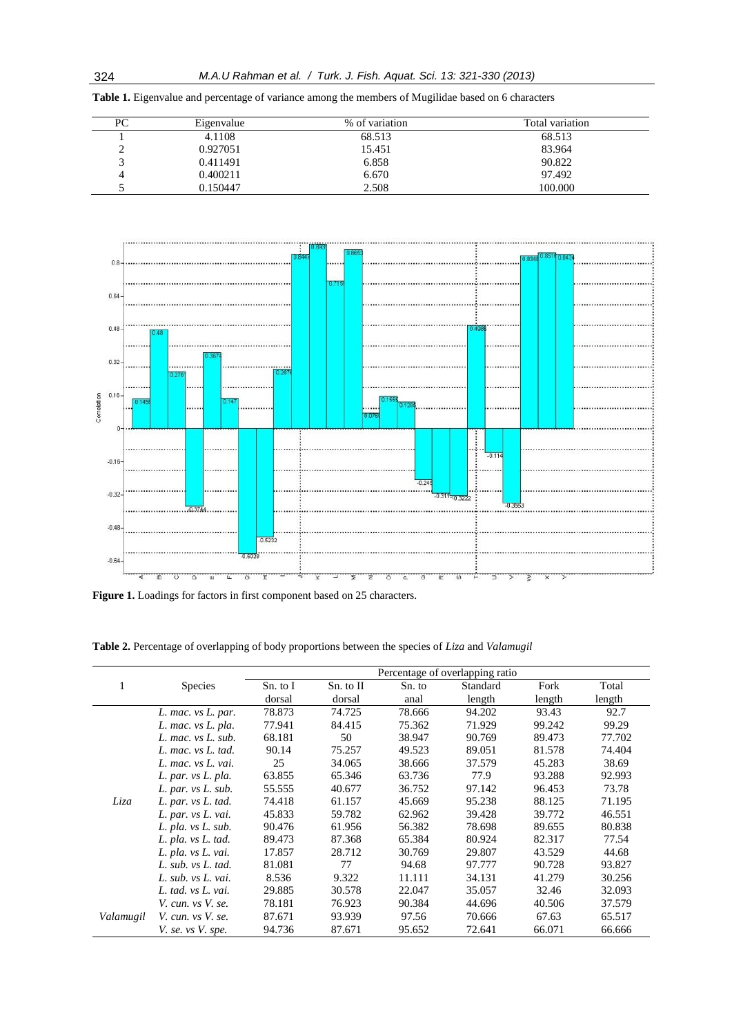| PС | Eigenvalue | % of variation | Total variation |
|----|------------|----------------|-----------------|
|    | 4.1108     | 68.513         | 68.513          |
|    | 0.927051   | 15.451         | 83.964          |
|    | 0.411491   | 6.858          | 90.822          |
|    | 0.400211   | 6.670          | 97.492          |
|    | 0.150447   | 2.508          | 100.000         |





Figure 1. Loadings for factors in first component based on 25 characters.

|           |                        | Percentage of overlapping ratio |           |        |          |        |        |  |  |  |
|-----------|------------------------|---------------------------------|-----------|--------|----------|--------|--------|--|--|--|
|           | <b>Species</b>         | Sn. to I                        | Sn. to II | Sn. to | Standard | Fork   | Total  |  |  |  |
|           |                        | dorsal                          | dorsal    | anal   | length   | length | length |  |  |  |
|           | L. mac. vs L. par.     | 78.873                          | 74.725    | 78.666 | 94.202   | 93.43  | 92.7   |  |  |  |
|           | L. mac. vs L. pla.     | 77.941                          | 84.415    | 75.362 | 71.929   | 99.242 | 99.29  |  |  |  |
|           | L. mac. vs L. sub.     | 68.181                          | 50        | 38.947 | 90.769   | 89.473 | 77.702 |  |  |  |
|           | L. mac. vs L. tad.     | 90.14                           | 75.257    | 49.523 | 89.051   | 81.578 | 74.404 |  |  |  |
|           | L. mac. vs L. vai.     | 25                              | 34.065    | 38.666 | 37.579   | 45.283 | 38.69  |  |  |  |
|           | L. par. vs L. pla.     | 63.855                          | 65.346    | 63.736 | 77.9     | 93.288 | 92.993 |  |  |  |
|           | L. par. vs L. sub.     | 55.555                          | 40.677    | 36.752 | 97.142   | 96.453 | 73.78  |  |  |  |
| Liza      | L. par. vs L. tad.     | 74.418                          | 61.157    | 45.669 | 95.238   | 88.125 | 71.195 |  |  |  |
|           | L. par. vs L. vai.     | 45.833                          | 59.782    | 62.962 | 39.428   | 39.772 | 46.551 |  |  |  |
|           | $L.$ pla. $vs L.$ sub. | 90.476                          | 61.956    | 56.382 | 78.698   | 89.655 | 80.838 |  |  |  |
|           | L. pla. vs L. tad.     | 89.473                          | 87.368    | 65.384 | 80.924   | 82.317 | 77.54  |  |  |  |
|           | L. pla. vs L. vai.     | 17.857                          | 28.712    | 30.769 | 29.807   | 43.529 | 44.68  |  |  |  |
|           | L. sub. vs L. tad.     | 81.081                          | 77        | 94.68  | 97.777   | 90.728 | 93.827 |  |  |  |
|           | L. sub. vs L. vai.     | 8.536                           | 9.322     | 11.111 | 34.131   | 41.279 | 30.256 |  |  |  |
|           | L. tad. vs L. vai.     | 29.885                          | 30.578    | 22.047 | 35.057   | 32.46  | 32.093 |  |  |  |
|           | V. cun. vs V. se.      | 78.181                          | 76.923    | 90.384 | 44.696   | 40.506 | 37.579 |  |  |  |
| Valamugil | V. cun. vs V. se.      | 87.671                          | 93.939    | 97.56  | 70.666   | 67.63  | 65.517 |  |  |  |
|           | V. se. vs V. spe.      | 94.736                          | 87.671    | 95.652 | 72.641   | 66.071 | 66.666 |  |  |  |

**Table 2.** Percentage of overlapping of body proportions between the species of *Liza* and *Valamugil*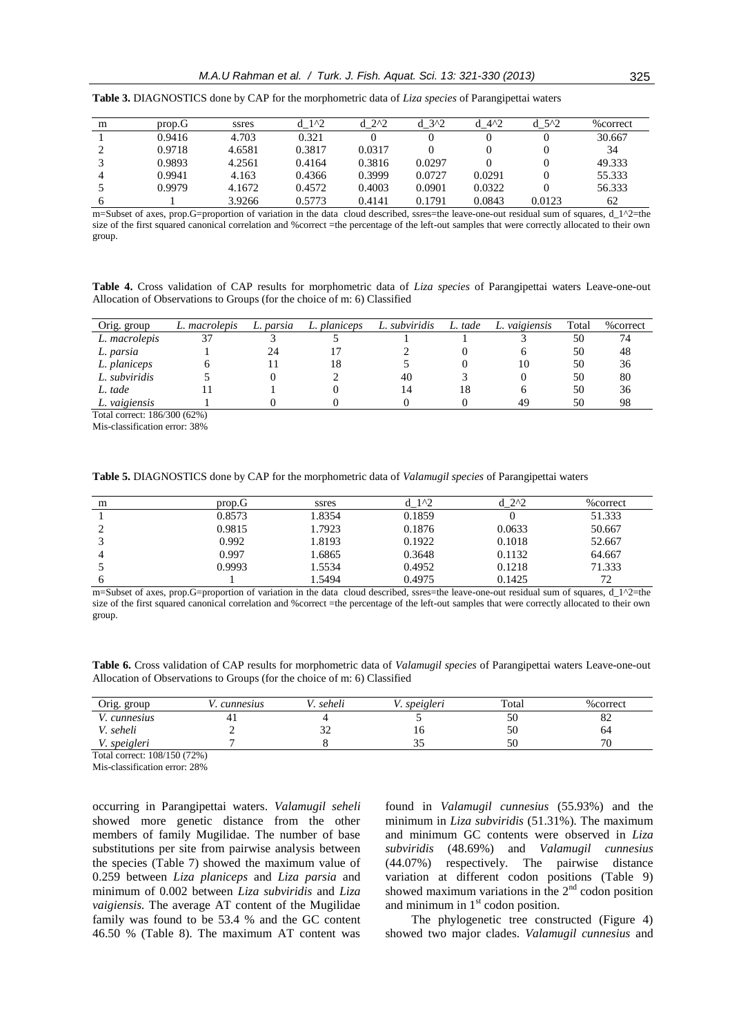| m | prop.G | ssres  | $1^{\prime}2$ | $2^{2}$ | 3 <sup>2</sup> | $4^{\prime}2$ | $d$ 5 <sup><math>\wedge</math>2</sup> | %correct |
|---|--------|--------|---------------|---------|----------------|---------------|---------------------------------------|----------|
|   | 0.9416 | 4.703  | 0.321         |         |                |               |                                       | 30.667   |
|   | 0.9718 | 4.6581 | 0.3817        | 0.0317  |                |               |                                       | 34       |
|   | 0.9893 | 4.2561 | 0.4164        | 0.3816  | 0.0297         |               |                                       | 49.333   |
|   | 0.9941 | 4.163  | 0.4366        | 0.3999  | 0.0727         | 0.0291        |                                       | 55.333   |
|   | 0.9979 | 4.1672 | 0.4572        | 0.4003  | 0.0901         | 0.0322        |                                       | 56.333   |
|   |        | 3.9266 | 0.5773        | 0.4141  | 0.1791         | 0.0843        | 0.0123                                | 62       |

**Table 3.** DIAGNOSTICS done by CAP for the morphometric data of *Liza species* of Parangipettai waters

m=Subset of axes, prop.G=proportion of variation in the data cloud described, ssres=the leave-one-out residual sum of squares, d\_1^2=the size of the first squared canonical correlation and %correct =the percentage of the left-out samples that were correctly allocated to their own group.

**Table 4.** Cross validation of CAP results for morphometric data of *Liza species* of Parangipettai waters Leave-one-out Allocation of Observations to Groups (for the choice of m: 6) Classified

| Orig. group   | L. macrolepis | L. parsia | planiceps<br>L. | L. subviridis | L. tade | L. vaigiensis | Total | % correct |
|---------------|---------------|-----------|-----------------|---------------|---------|---------------|-------|-----------|
| L. macrolepis |               |           |                 |               |         |               | 50    | 74        |
| L. parsia     |               | 24        |                 |               |         |               | 50    | 48        |
| L. planiceps  |               |           | 18              |               |         | 10            | 50    | 36        |
| L. subviridis |               |           |                 | 40            |         |               | 50    | 80        |
| L. tade       |               |           |                 | 14            | 18      |               | 50    | 36        |
| L. vaigiensis |               |           |                 |               |         | 49            | 50    | 98        |

Total correct: 186/300 (62%)

Mis-classification error: 38%

**Table 5.** DIAGNOSTICS done by CAP for the morphometric data of *Valamugil species* of Parangipettai waters

| m | prop.G | ssres  | 1 <sup>2</sup> | $d$ 2^2 | %correct |
|---|--------|--------|----------------|---------|----------|
|   | 0.8573 | 1.8354 | 0.1859         |         | 51.333   |
|   | 0.9815 | 1.7923 | 0.1876         | 0.0633  | 50.667   |
|   | 0.992  | 1.8193 | 0.1922         | 0.1018  | 52.667   |
| 4 | 0.997  | 1.6865 | 0.3648         | 0.1132  | 64.667   |
|   | 0.9993 | 1.5534 | 0.4952         | 0.1218  | 71.333   |
| h |        | 1.5494 | 0.4975         | 0.1425  | 72       |

m=Subset of axes, prop.G=proportion of variation in the data cloud described, ssres=the leave-one-out residual sum of squares, d\_1^2=the size of the first squared canonical correlation and %correct =the percentage of the left-out samples that were correctly allocated to their own group.

**Table 6.** Cross validation of CAP results for morphometric data of *Valamugil species* of Parangipettai waters Leave-one-out Allocation of Observations to Groups (for the choice of m: 6) Classified

| Orig. group  | cunnesus | seheli | speigleri | Total | %correct                 |
|--------------|----------|--------|-----------|-------|--------------------------|
| '. cunnesius | $+1$     |        |           | 50    | $\circ$<br>ΟŹ            |
| seheli       |          | ے ب    | ΙU        | 50    | 64                       |
| V. speigleri |          |        | ັ         | 50    | $\overline{\phantom{a}}$ |

Total correct: 108/150 (72%)

Mis-classification error: 28%

occurring in Parangipettai waters. *Valamugil seheli* showed more genetic distance from the other members of family Mugilidae. The number of base substitutions per site from pairwise analysis between the species (Table 7) showed the maximum value of 0.259 between *Liza planiceps* and *Liza parsia* and minimum of 0.002 between *Liza subviridis* and *Liza vaigiensis.* The average AT content of the Mugilidae family was found to be 53.4 % and the GC content 46.50 % (Table 8). The maximum AT content was

found in *Valamugil cunnesius* (55.93%) and the minimum in *Liza subviridis* (51.31%)*.* The maximum and minimum GC contents were observed in *Liza subviridis* (48.69%) and *Valamugil cunnesius*  (44.07%) respectively. The pairwise distance variation at different codon positions (Table 9) showed maximum variations in the  $2<sup>nd</sup>$  codon position and minimum in  $1<sup>st</sup>$  codon position.

The phylogenetic tree constructed (Figure 4) showed two major clades. *Valamugil cunnesius* and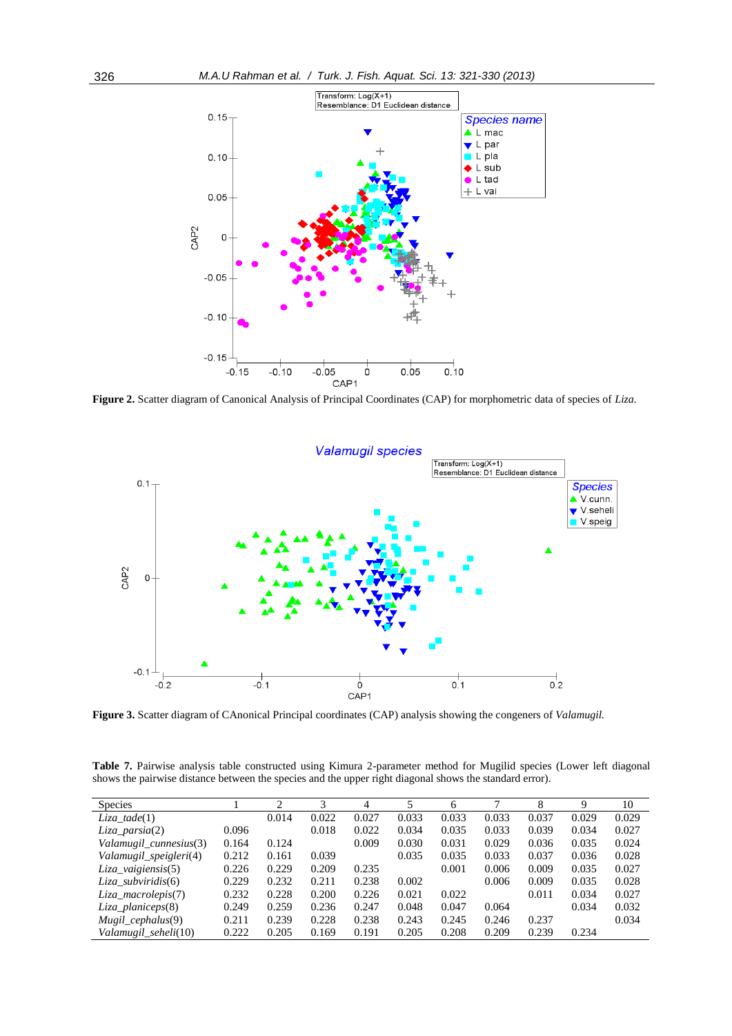

**Figure 2.** Scatter diagram of Canonical Analysis of Principal Coordinates (CAP) for morphometric data of species of *Liza.*



**Figure 3.** Scatter diagram of CAnonical Principal coordinates (CAP) analysis showing the congeners of *Valamugil.*

**Table 7.** Pairwise analysis table constructed using Kimura 2-parameter method for Mugilid species (Lower left diagonal shows the pairwise distance between the species and the upper right diagonal shows the standard error).

| <b>Species</b>         |       | ↑     |       | 4     |       | 6     |       | 8     | Q     | 10    |
|------------------------|-------|-------|-------|-------|-------|-------|-------|-------|-------|-------|
| Liza tade(1)           |       | 0.014 | 0.022 | 0.027 | 0.033 | 0.033 | 0.033 | 0.037 | 0.029 | 0.029 |
| $Liza\_parsia(2)$      | 0.096 |       | 0.018 | 0.022 | 0.034 | 0.035 | 0.033 | 0.039 | 0.034 | 0.027 |
| Valamugil_cunnesius(3) | 0.164 | 0.124 |       | 0.009 | 0.030 | 0.031 | 0.029 | 0.036 | 0.035 | 0.024 |
| Valamugil_speigleri(4) | 0.212 | 0.161 | 0.039 |       | 0.035 | 0.035 | 0.033 | 0.037 | 0.036 | 0.028 |
| $Liza\_vaigiensis(5)$  | 0.226 | 0.229 | 0.209 | 0.235 |       | 0.001 | 0.006 | 0.009 | 0.035 | 0.027 |
| $Liza$ subviridis(6)   | 0.229 | 0.232 | 0.211 | 0.238 | 0.002 |       | 0.006 | 0.009 | 0.035 | 0.028 |
| Liza macrolepis(7)     | 0.232 | 0.228 | 0.200 | 0.226 | 0.021 | 0.022 |       | 0.011 | 0.034 | 0.027 |
| Liza planiceps(8)      | 0.249 | 0.259 | 0.236 | 0.247 | 0.048 | 0.047 | 0.064 |       | 0.034 | 0.032 |
| $Mugil\_cephalus(9)$   | 0.211 | 0.239 | 0.228 | 0.238 | 0.243 | 0.245 | 0.246 | 0.237 |       | 0.034 |
| Valamugil seheli(10)   | 0.222 | 0.205 | 0.169 | 0.191 | 0.205 | 0.208 | 0.209 | 0.239 | 0.234 |       |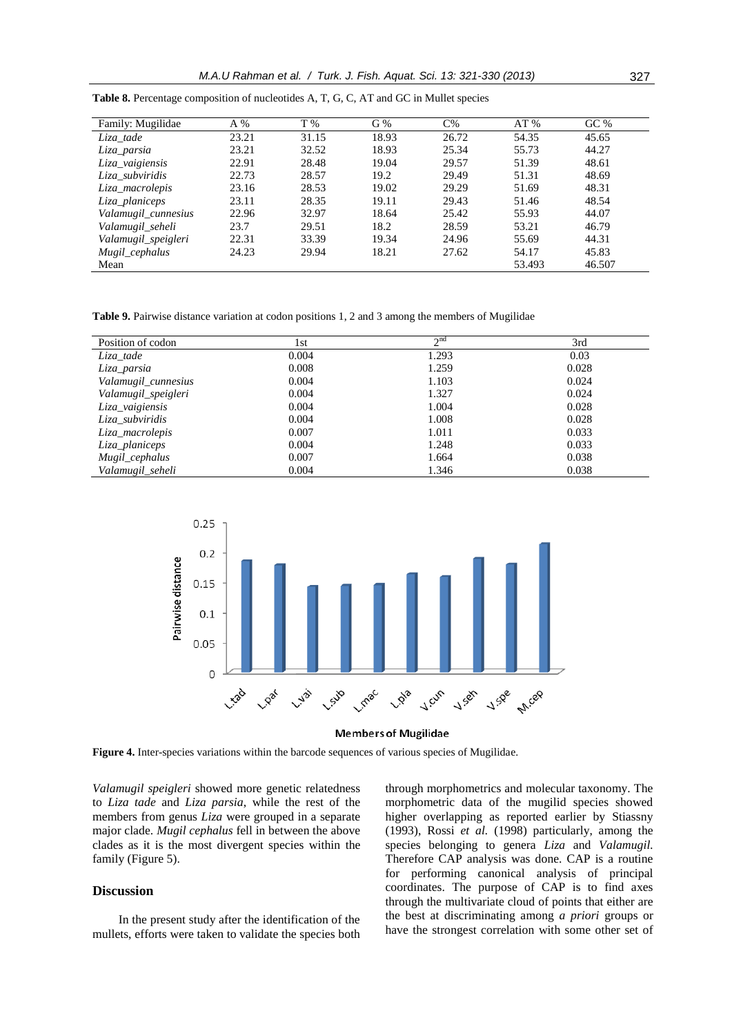| Family: Mugilidae   | A %   | T %   | G%    | $C\%$ | AT%    | GC%    |
|---------------------|-------|-------|-------|-------|--------|--------|
| Liza_tade           | 23.21 | 31.15 | 18.93 | 26.72 | 54.35  | 45.65  |
| Liza parsia         | 23.21 | 32.52 | 18.93 | 25.34 | 55.73  | 44.27  |
| Liza_vaigiensis     | 22.91 | 28.48 | 19.04 | 29.57 | 51.39  | 48.61  |
| Liza_subviridis     | 22.73 | 28.57 | 19.2  | 29.49 | 51.31  | 48.69  |
| Liza_macrolepis     | 23.16 | 28.53 | 19.02 | 29.29 | 51.69  | 48.31  |
| Liza planiceps      | 23.11 | 28.35 | 19.11 | 29.43 | 51.46  | 48.54  |
| Valamugil_cunnesius | 22.96 | 32.97 | 18.64 | 25.42 | 55.93  | 44.07  |
| Valamugil_seheli    | 23.7  | 29.51 | 18.2  | 28.59 | 53.21  | 46.79  |
| Valamugil_speigleri | 22.31 | 33.39 | 19.34 | 24.96 | 55.69  | 44.31  |
| Mugil_cephalus      | 24.23 | 29.94 | 18.21 | 27.62 | 54.17  | 45.83  |
| Mean                |       |       |       |       | 53.493 | 46.507 |

**Table 8.** Percentage composition of nucleotides A, T, G, C, AT and GC in Mullet species

**Table 9.** Pairwise distance variation at codon positions 1, 2 and 3 among the members of Mugilidae

| Position of codon   | 1st   | $\gamma$ nd | 3rd   |
|---------------------|-------|-------------|-------|
| Liza_tade           | 0.004 | 1.293       | 0.03  |
| Liza parsia         | 0.008 | 1.259       | 0.028 |
| Valamugil_cunnesius | 0.004 | 1.103       | 0.024 |
| Valamugil_speigleri | 0.004 | 1.327       | 0.024 |
| Liza_vaigiensis     | 0.004 | 1.004       | 0.028 |
| Liza_subviridis     | 0.004 | 1.008       | 0.028 |
| Liza_macrolepis     | 0.007 | 1.011       | 0.033 |
| Liza_planiceps      | 0.004 | 1.248       | 0.033 |
| Mugil_cephalus      | 0.007 | 1.664       | 0.038 |
| Valamugil_seheli    | 0.004 | 1.346       | 0.038 |



**Members of Mugilidae** 

**Figure 4.** Inter-species variations within the barcode sequences of various species of Mugilidae.

*Valamugil speigleri* showed more genetic relatedness to *Liza tade* and *Liza parsia*, while the rest of the members from genus *Liza* were grouped in a separate major clade. *Mugil cephalus* fell in between the above clades as it is the most divergent species within the family (Figure 5).

#### **Discussion**

In the present study after the identification of the mullets, efforts were taken to validate the species both through morphometrics and molecular taxonomy. The morphometric data of the mugilid species showed higher overlapping as reported earlier by Stiassny (1993), Rossi *et al.* (1998) particularly, among the species belonging to genera *Liza* and *Valamugil.* Therefore CAP analysis was done. CAP is a routine for performing canonical analysis of principal coordinates. The purpose of CAP is to find axes through the multivariate cloud of points that either are the best at discriminating among *a priori* groups or have the strongest correlation with some other set of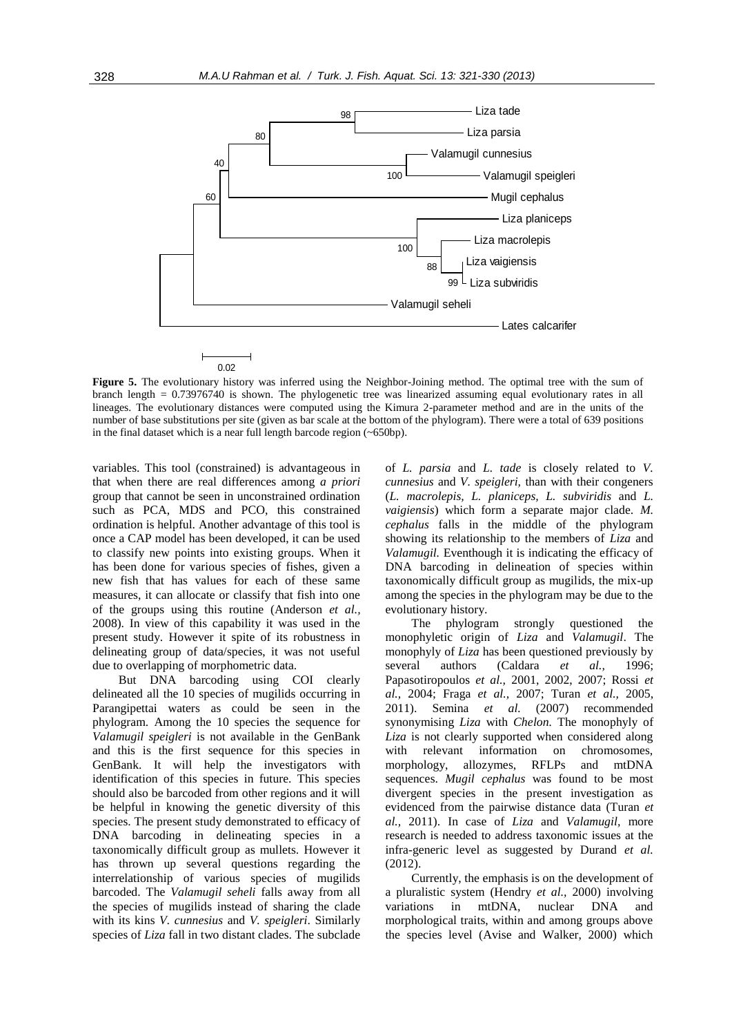

**Figure 5.** The evolutionary history was inferred using the Neighbor-Joining method. The optimal tree with the sum of branch length = 0.73976740 is shown. The phylogenetic tree was linearized assuming equal evolutionary rates in all lineages. The evolutionary distances were computed using the Kimura 2-parameter method and are in the units of the number of base substitutions per site (given as bar scale at the bottom of the phylogram). There were a total of 639 positions in the final dataset which is a near full length barcode region (~650bp).

variables. This tool (constrained) is advantageous in that when there are real differences among *a priori* group that cannot be seen in unconstrained ordination such as PCA, MDS and PCO, this constrained ordination is helpful. Another advantage of this tool is once a CAP model has been developed, it can be used to classify new points into existing groups. When it has been done for various species of fishes, given a new fish that has values for each of these same measures, it can allocate or classify that fish into one of the groups using this routine (Anderson *et al.,* 2008). In view of this capability it was used in the present study. However it spite of its robustness in delineating group of data/species, it was not useful due to overlapping of morphometric data.

But DNA barcoding using COI clearly delineated all the 10 species of mugilids occurring in Parangipettai waters as could be seen in the phylogram. Among the 10 species the sequence for *Valamugil speigleri* is not available in the GenBank and this is the first sequence for this species in GenBank. It will help the investigators with identification of this species in future. This species should also be barcoded from other regions and it will be helpful in knowing the genetic diversity of this species. The present study demonstrated to efficacy of DNA barcoding in delineating species in a taxonomically difficult group as mullets. However it has thrown up several questions regarding the interrelationship of various species of mugilids barcoded. The *Valamugil seheli* falls away from all the species of mugilids instead of sharing the clade with its kins *V. cunnesius* and *V. speigleri*. Similarly species of *Liza* fall in two distant clades. The subclade of *L. parsia* and *L. tade* is closely related to *V. cunnesius* and *V. speigleri,* than with their congeners (*L. macrolepis, L. planiceps, L. subviridis* and *L. vaigiensis*) which form a separate major clade. *M. cephalus* falls in the middle of the phylogram showing its relationship to the members of *Liza* and *Valamugil.* Eventhough it is indicating the efficacy of DNA barcoding in delineation of species within taxonomically difficult group as mugilids, the mix-up among the species in the phylogram may be due to the evolutionary history.

The phylogram strongly questioned the monophyletic origin of *Liza* and *Valamugil*. The monophyly of *Liza* has been questioned previously by several authors (Caldara *et al.,* 1996; Papasotiropoulos *et al.,* 2001, 2002, 2007; Rossi *et al.,* 2004; Fraga *et al.,* 2007; Turan *et al.,* 2005, 2011). Semina *et al.* (2007) recommended synonymising *Liza* with *Chelon.* The monophyly of *Liza* is not clearly supported when considered along with relevant information on chromosomes, morphology, allozymes, RFLPs and mtDNA sequences. *Mugil cephalus* was found to be most divergent species in the present investigation as evidenced from the pairwise distance data (Turan *et al.,* 2011). In case of *Liza* and *Valamugil,* more research is needed to address taxonomic issues at the infra-generic level as suggested by Durand *et al.* (2012).

Currently, the emphasis is on the development of a pluralistic system (Hendry *et al.,* 2000) involving variations in mtDNA, nuclear DNA and morphological traits, within and among groups above the species level (Avise and Walker, 2000) which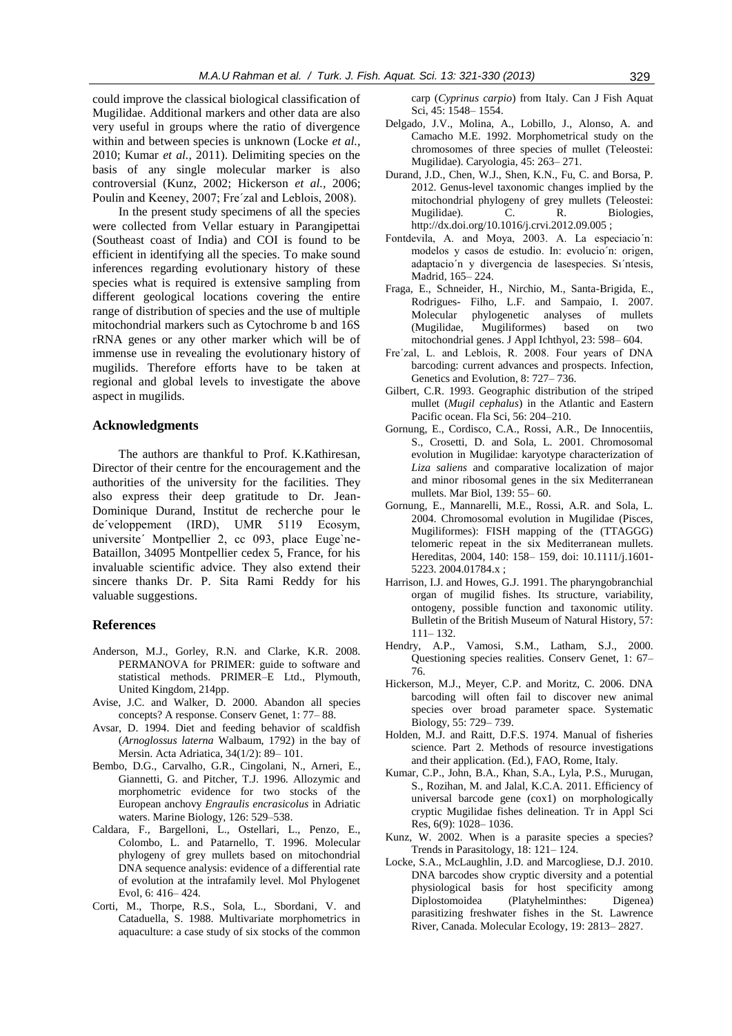could improve the classical biological classification of Mugilidae. Additional markers and other data are also very useful in groups where the ratio of divergence within and between species is unknown (Locke *et al.,* 2010; Kumar *et al.,* 2011). Delimiting species on the basis of any single molecular marker is also controversial (Kunz, 2002; Hickerson *et al.,* 2006; Poulin and Keeney, 2007; Fre´zal and Leblois, 2008).

In the present study specimens of all the species were collected from Vellar estuary in Parangipettai (Southeast coast of India) and COI is found to be efficient in identifying all the species. To make sound inferences regarding evolutionary history of these species what is required is extensive sampling from different geological locations covering the entire range of distribution of species and the use of multiple mitochondrial markers such as Cytochrome b and 16S rRNA genes or any other marker which will be of immense use in revealing the evolutionary history of mugilids. Therefore efforts have to be taken at regional and global levels to investigate the above aspect in mugilids.

## **Acknowledgments**

The authors are thankful to Prof. K.Kathiresan, Director of their centre for the encouragement and the authorities of the university for the facilities. They also express their deep gratitude to Dr. Jean-Dominique Durand, Institut de recherche pour le de´veloppement (IRD), UMR 5119 Ecosym, universite´ Montpellier 2, cc 093, place Euge`ne-Bataillon, 34095 Montpellier cedex 5, France, for his invaluable scientific advice. They also extend their sincere thanks Dr. P. Sita Rami Reddy for his valuable suggestions.

## **References**

- Anderson, M.J., Gorley, R.N. and Clarke, K.R. 2008. PERMANOVA for PRIMER: guide to software and statistical methods. PRIMER–E Ltd., Plymouth, United Kingdom, 214pp.
- Avise, J.C. and Walker, D. 2000. Abandon all species concepts? A response. Conserv Genet, 1: 77– 88.
- Avsar, D. 1994. Diet and feeding behavior of scaldfish (*Arnoglossus laterna* Walbaum, 1792) in the bay of Mersin. Acta Adriatica, 34(1/2): 89– 101.
- Bembo, D.G., Carvalho, G.R., Cingolani, N., Arneri, E., Giannetti, G. and Pitcher, T.J. 1996. Allozymic and morphometric evidence for two stocks of the European anchovy *Engraulis encrasicolus* in Adriatic waters. Marine Biology, 126: 529–538.
- Caldara, F., Bargelloni, L., Ostellari, L., Penzo, E., Colombo, L. and Patarnello, T. 1996. Molecular phylogeny of grey mullets based on mitochondrial DNA sequence analysis: evidence of a differential rate of evolution at the intrafamily level. Mol Phylogenet Evol, 6: 416– 424.
- Corti, M., Thorpe, R.S., Sola, L., Sbordani, V. and Cataduella, S. 1988. Multivariate morphometrics in aquaculture: a case study of six stocks of the common

carp (*Cyprinus carpio*) from Italy. Can J Fish Aquat Sci, 45: 1548– 1554.

- Delgado, J.V., Molina, A., Lobillo, J., Alonso, A. and Camacho M.E. 1992. Morphometrical study on the chromosomes of three species of mullet (Teleostei: Mugilidae). Caryologia, 45: 263– 271.
- Durand, J.D., Chen, W.J., Shen, K.N., Fu, C. and Borsa, P. 2012. Genus-level taxonomic changes implied by the mitochondrial phylogeny of grey mullets (Teleostei: Mugilidae). C. R. Biologies, http://dx.doi.org/10.1016/j.crvi.2012.09.005 ;
- Fontdevila, A. and Moya, 2003. A. La especiacio´n: modelos y casos de estudio. In: evolucio´n: origen, adaptacio´n y divergencia de lasespecies. Sı´ntesis, Madrid, 165– 224.
- Fraga, E., Schneider, H., Nirchio, M., Santa-Brigida, E., Rodrigues- Filho, L.F. and Sampaio, I. 2007. Molecular phylogenetic analyses of mullets (Mugilidae, Mugiliformes) based on two mitochondrial genes. J Appl Ichthyol, 23: 598– 604.
- Fre´zal, L. and Leblois, R. 2008. Four years of DNA barcoding: current advances and prospects. Infection, Genetics and Evolution, 8: 727– 736.
- Gilbert, C.R. 1993. Geographic distribution of the striped mullet (*Mugil cephalus*) in the Atlantic and Eastern Pacific ocean. Fla Sci, 56: 204–210.
- Gornung, E., Cordisco, C.A., Rossi, A.R., De Innocentiis, S., Crosetti, D. and Sola, L. 2001. Chromosomal evolution in Mugilidae: karyotype characterization of *Liza saliens* and comparative localization of major and minor ribosomal genes in the six Mediterranean mullets. Mar Biol, 139: 55– 60.
- Gornung, E., Mannarelli, M.E., Rossi, A.R. and Sola, L. 2004. Chromosomal evolution in Mugilidae (Pisces, Mugiliformes): FISH mapping of the (TTAGGG) telomeric repeat in the six Mediterranean mullets. Hereditas, 2004, 140: 158– 159, doi: 10.1111/j.1601- 5223. 2004.01784.x ;
- Harrison, I.J. and Howes, G.J. 1991. The pharyngobranchial organ of mugilid fishes. Its structure, variability, ontogeny, possible function and taxonomic utility. Bulletin of the British Museum of Natural History, 57: 111– 132.
- Hendry, A.P., Vamosi, S.M., Latham, S.J., 2000. Questioning species realities. Conserv Genet, 1: 67– 76.
- Hickerson, M.J., Meyer, C.P. and Moritz, C. 2006. DNA barcoding will often fail to discover new animal species over broad parameter space. Systematic Biology, 55: 729– 739.
- Holden, M.J. and Raitt, D.F.S. 1974. Manual of fisheries science. Part 2. Methods of resource investigations and their application. (Ed.), FAO, Rome, Italy.
- Kumar, C.P., John, B.A., Khan, S.A., Lyla, P.S., Murugan, S., Rozihan, M. and Jalal, K.C.A. 2011. Efficiency of universal barcode gene (cox1) on morphologically cryptic Mugilidae fishes delineation. Tr in Appl Sci Res, 6(9): 1028– 1036.
- Kunz, W. 2002. When is a parasite species a species? Trends in Parasitology, 18: 121– 124.
- Locke, S.A., McLaughlin, J.D. and Marcogliese, D.J. 2010. DNA barcodes show cryptic diversity and a potential physiological basis for host specificity among Diplostomoidea (Platyhelminthes: Digenea) parasitizing freshwater fishes in the St. Lawrence River, Canada. Molecular Ecology, 19: 2813– 2827.